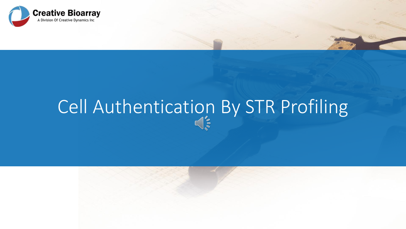

# Cell Authentication By STR Profiling



 $(\epsilon_{2})$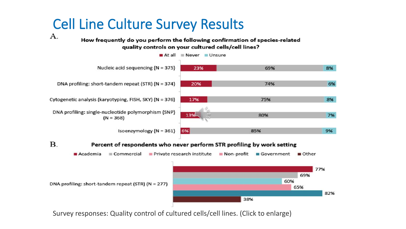# Cell Line Culture Survey Results

А.

How frequently do you perform the following confirmation of species-related quality controls on your cultured cells/cell lines?



#### **B.** Percent of respondents who never perform STR profiling by work setting



Survey responses: Quality control of cultured cells/cell lines. (Click to enlarge)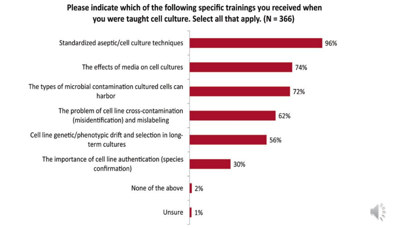## Please indicate which of the following specific trainings you received when you were taught cell culture. Select all that apply. (N = 366)



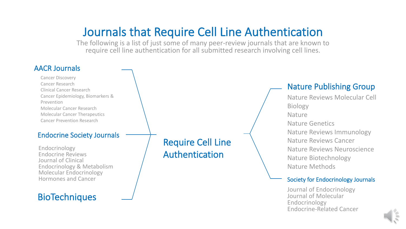# Journals that Require Cell Line Authentication

The following is a list of just some of many peer-review journals that are known to require cell line authentication for all submitted research involving cell lines.

#### AACR Journals

Cancer Discovery Cancer Research Clinical Cancer Research Cancer Epidemiology, Biomarkers & Prevention Molecular Cancer Research Molecular Cancer Therapeutics Cancer Prevention Research

#### Endocrine Society Journals

Endocrinology Endocrine Reviews Journal of Clinical Endocrinology & Metabolism Molecular Endocrinology Hormones and Cancer

## **BioTechniques**

Require Cell Line Authentication

### Nature Publishing Group

Nature Reviews Molecular Cell Biology Nature Nature Genetics Nature Reviews Immunology Nature Reviews Cancer Nature Reviews Neuroscience Nature Biotechnology Nature Methods

#### Society for Endocrinology Journals

Journal of Endocrinology Journal of Molecular Endocrinology Endocrine-Related Cancer

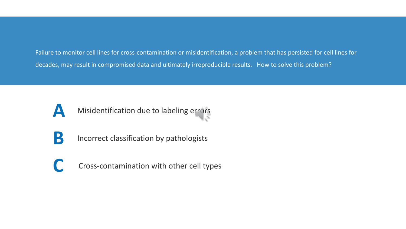Failure to monitor cell lines for cross-contamination or misidentification, a problem that has persisted for cell lines for decades, may result in compromised data and ultimately irreproducible results. How to solve this problem?



- **B** Incorrect classification by pathologists
	- **C** Cross-contamination with other cell types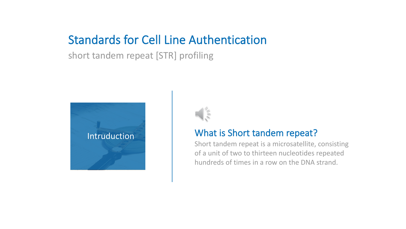## Standards for Cell Line Authentication

short tandem repeat [STR] profiling





## Intruduction What is Short tandem repeat?

Short tandem repeat is a microsatellite, consisting of a unit of two to thirteen nucleotides repeated hundreds of times in a row on the DNA strand.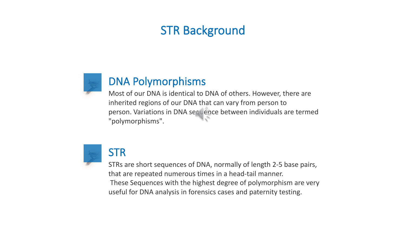## STR Background



## DNA Polymorphisms

Most of our DNA is identical to DNA of others. However, there are inherited regions of our DNA that can vary from person to person. Variations in DNA sequence between individuals are termed "polymorphisms".



STRs are short sequences of DNA, normally of length 2-5 base pairs, that are repeated numerous times in a head-tail manner. These Sequences with the highest degree of polymorphism are very useful for DNA analysis in forensics cases and paternity testing.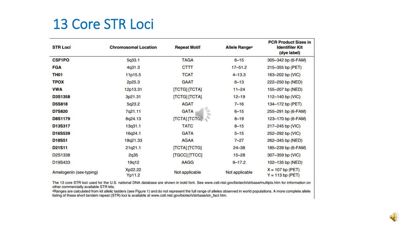# **13 Core STR Loci**

| <b>STR Loci</b>         | <b>Chromosomal Location</b> | <b>Repeat Motif</b>              | <b>Allele Ranges</b> | <b>PCR Product Sizes in</b><br><b>Identifiler Kit</b><br>(dye label) |
|-------------------------|-----------------------------|----------------------------------|----------------------|----------------------------------------------------------------------|
| <b>CSF1PO</b>           | 5q33.1                      | <b>TAGA</b>                      | $6 - 15$             | 305-342 bp (6-FAM)                                                   |
| <b>FGA</b>              | 4q31.3                      | <b>CTTT</b>                      | $17 - 51.2$          | 215-355 bp (PET)                                                     |
| <b>TH01</b>             | 11p15.5                     | <b>TCAT</b>                      | $4 - 13.3$           | 163-202 bp (VIC)                                                     |
| <b>TPOX</b>             | 2p25.3                      | <b>GAAT</b>                      | $6 - 13$             | 222-250 bp (NED)                                                     |
| <b>VWA</b>              | 12p13.31                    | [TCTG] [TCTA]                    | $11 - 24$            | 155-207 bp (NED)                                                     |
| D3S1358                 | 3p21.31                     | [TCTG] [TCTA]                    | $12 - 19$            | 112-140 bp (VIC)                                                     |
| <b>D5S818</b>           | 5q23.2                      | <b>AGAT</b>                      | $7 - 16$             | 134-172 bp (PET)                                                     |
| <b>D7S820</b>           | 7q21.11                     | $\frac{1}{2}$<br><b>GATA</b>     | $6 - 15$             | 255-291 bp (6-FAM)                                                   |
| <b>D8S1179</b>          | 8q24.13                     | <b>[ТСТА]</b> [ТСТС <sub>2</sub> | $8 - 19$             | 123-170 bp (6-FAM)                                                   |
| D13S317                 | 13q31.1                     | <b>TATC</b>                      | $8 - 15$             | 217-245 bp (VIC)                                                     |
| D16S539                 | 16q24.1                     | <b>GATA</b>                      | $5 - 15$             | 252-292 bp (VIC)                                                     |
| D18S51                  | 18q21.33                    | <b>AGAA</b>                      | $7 - 27$             | 262-345 bp (NED)                                                     |
| D21S11                  | 21q21.1                     | [TCTA] [TCTG]                    | $24 - 38$            | 185-239 bp (6-FAM)                                                   |
| D2S1338                 | 2q35                        | [TGCC] [TTCC]                    | $15 - 28$            | 307-359 bp (VIC)                                                     |
| D19S433                 | 19q12                       | AAGG                             | $9 - 17.2$           | 102-135 bp (NED)                                                     |
| Amelogenin (sex-typing) | Xp22.22<br>Yp11.2           | Not applicable                   | Not applicable       | $X = 107$ bp (PET)<br>$Y = 113$ bp (PET)                             |

The 13 core STR loci used for the U.S. national DNA database are shown in bold font. See www.cstl.nist.gov/biotech/strbase/multiplx.htm for information on other commercially available STR kits.

a Panges are calculated from kit allelic ladders (see Figure 1) and do not represent the full range of alleles observed in world populations. A more complete allele<br>listing of these short tandem repeat (STR) loci is availa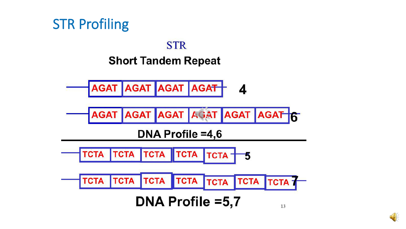

## **STR Short Tandem Repeat**



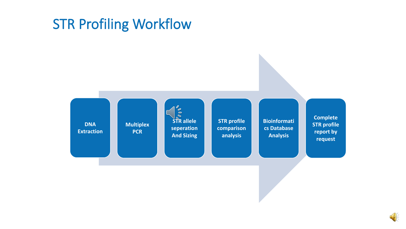# STR Profiling Workflow



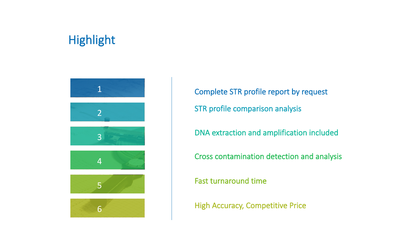## Highlight



Complete STR profile report by request STR profile comparison analysis

DNA extraction and amplification included

Cross contamination detection and analysis

Fast turnaround time

High Accuracy, Competitive Price